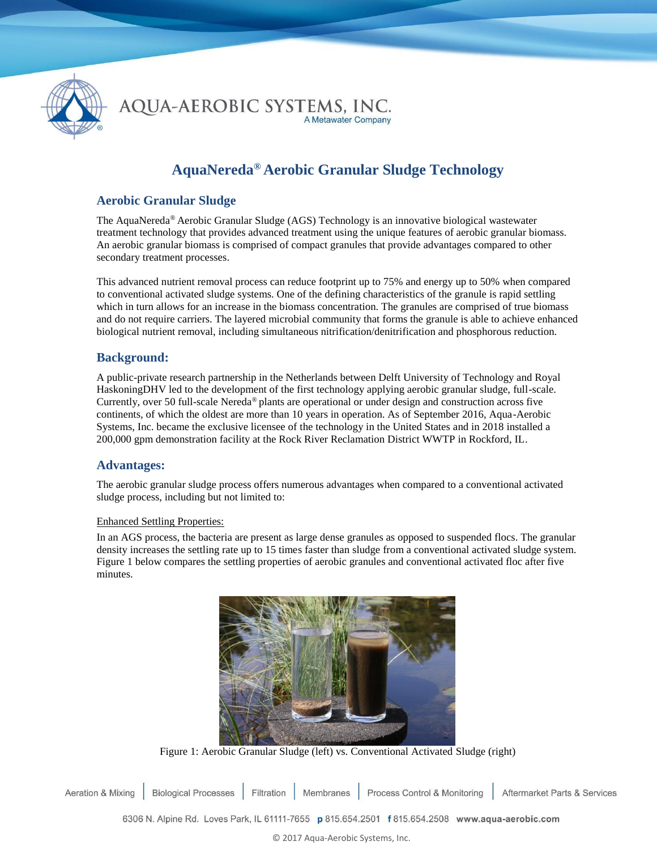

AQUA-AEROBIC SYSTEMS, INC. A Metawater Company

# **AquaNereda® Aerobic Granular Sludge Technology**

## **Aerobic Granular Sludge**

The AquaNereda® Aerobic Granular Sludge (AGS) Technology is an innovative biological wastewater treatment technology that provides advanced treatment using the unique features of aerobic granular biomass. An aerobic granular biomass is comprised of compact granules that provide advantages compared to other secondary treatment processes.

This advanced nutrient removal process can reduce footprint up to 75% and energy up to 50% when compared to conventional activated sludge systems. One of the defining characteristics of the granule is rapid settling which in turn allows for an increase in the biomass concentration. The granules are comprised of true biomass and do not require carriers. The layered microbial community that forms the granule is able to achieve enhanced biological nutrient removal, including simultaneous nitrification/denitrification and phosphorous reduction.

## **Background:**

A public-private research partnership in the Netherlands between Delft University of Technology and Royal HaskoningDHV led to the development of the first technology applying aerobic granular sludge, full-scale. Currently, over 50 full-scale Nereda® plants are operational or under design and construction across five continents, of which the oldest are more than 10 years in operation. As of September 2016, Aqua-Aerobic Systems, Inc. became the exclusive licensee of the technology in the United States and in 2018 installed a 200,000 gpm demonstration facility at the Rock River Reclamation District WWTP in Rockford, IL.

## **Advantages:**

The aerobic granular sludge process offers numerous advantages when compared to a conventional activated sludge process, including but not limited to:

#### Enhanced Settling Properties:

In an AGS process, the bacteria are present as large dense granules as opposed to suspended flocs. The granular density increases the settling rate up to 15 times faster than sludge from a conventional activated sludge system. Figure 1 below compares the settling properties of aerobic granules and conventional activated floc after five minutes.



Figure 1: Aerobic Granular Sludge (left) vs. Conventional Activated Sludge (right)

Filtration Process Control & Monitoring **Aeration & Mixing Biological Processes** Membranes Aftermarket Parts & Services

6306 N. Alpine Rd. Loves Park, IL 61111-7655 p 815.654.2501 f 815.654.2508 www.aqua-aerobic.com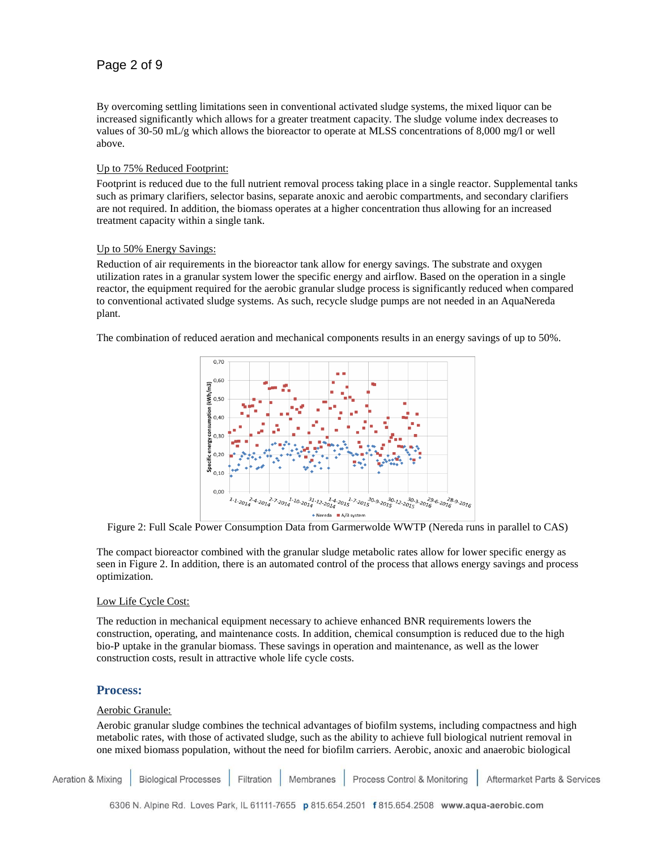By overcoming settling limitations seen in conventional activated sludge systems, the mixed liquor can be increased significantly which allows for a greater treatment capacity. The sludge volume index decreases to values of 30-50 mL/g which allows the bioreactor to operate at MLSS concentrations of 8,000 mg/l or well above.

#### Up to 75% Reduced Footprint:

Footprint is reduced due to the full nutrient removal process taking place in a single reactor. Supplemental tanks such as primary clarifiers, selector basins, separate anoxic and aerobic compartments, and secondary clarifiers are not required. In addition, the biomass operates at a higher concentration thus allowing for an increased treatment capacity within a single tank.

#### Up to 50% Energy Savings:

Reduction of air requirements in the bioreactor tank allow for energy savings. The substrate and oxygen utilization rates in a granular system lower the specific energy and airflow. Based on the operation in a single reactor, the equipment required for the aerobic granular sludge process is significantly reduced when compared to conventional activated sludge systems. As such, recycle sludge pumps are not needed in an AquaNereda plant.

The combination of reduced aeration and mechanical components results in an energy savings of up to 50%.



Figure 2: Full Scale Power Consumption Data from Garmerwolde WWTP (Nereda runs in parallel to CAS)

The compact bioreactor combined with the granular sludge metabolic rates allow for lower specific energy as seen in Figure 2. In addition, there is an automated control of the process that allows energy savings and process optimization.

#### Low Life Cycle Cost:

The reduction in mechanical equipment necessary to achieve enhanced BNR requirements lowers the construction, operating, and maintenance costs. In addition, chemical consumption is reduced due to the high bio-P uptake in the granular biomass. These savings in operation and maintenance, as well as the lower construction costs, result in attractive whole life cycle costs.

## **Process:**

#### Aerobic Granule:

Aerobic granular sludge combines the technical advantages of biofilm systems, including compactness and high metabolic rates, with those of activated sludge, such as the ability to achieve full biological nutrient removal in one mixed biomass population, without the need for biofilm carriers. Aerobic, anoxic and anaerobic biological

**Aeration & Mixing Biological Processes** Filtration Membranes Process Control & Monitoring Aftermarket Parts & Services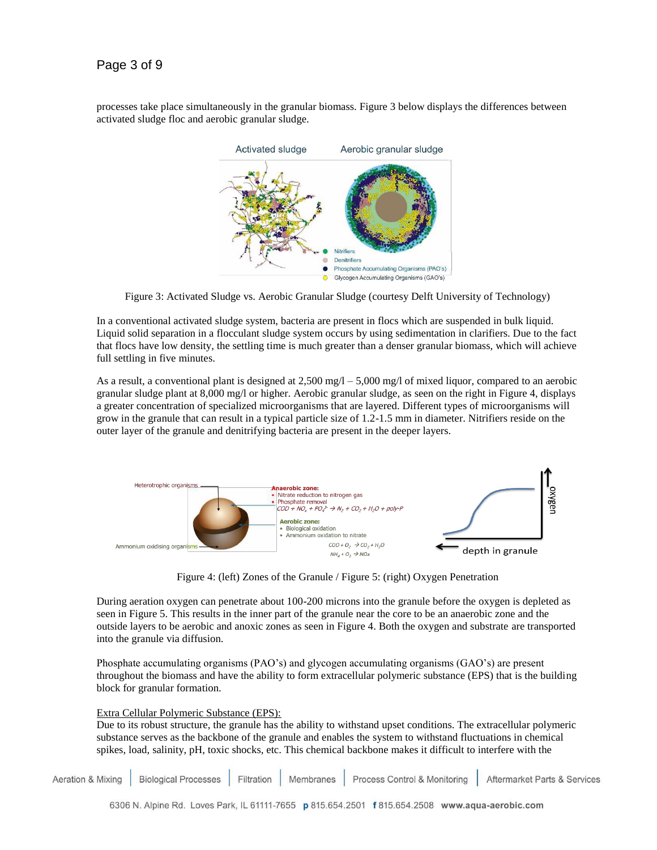# Page 3 of 9

processes take place simultaneously in the granular biomass. Figure 3 below displays the differences between activated sludge floc and aerobic granular sludge.



Figure 3: Activated Sludge vs. Aerobic Granular Sludge (courtesy Delft University of Technology)

In a conventional activated sludge system, bacteria are present in flocs which are suspended in bulk liquid. Liquid solid separation in a flocculant sludge system occurs by using sedimentation in clarifiers. Due to the fact that flocs have low density, the settling time is much greater than a denser granular biomass, which will achieve full settling in five minutes.

As a result, a conventional plant is designed at  $2,500$  mg/l –  $5,000$  mg/l of mixed liquor, compared to an aerobic granular sludge plant at 8,000 mg/l or higher. Aerobic granular sludge, as seen on the right in Figure 4, displays a greater concentration of specialized microorganisms that are layered. Different types of microorganisms will grow in the granule that can result in a typical particle size of 1.2-1.5 mm in diameter. Nitrifiers reside on the outer layer of the granule and denitrifying bacteria are present in the deeper layers.



Figure 4: (left) Zones of the Granule / Figure 5: (right) Oxygen Penetration

During aeration oxygen can penetrate about 100-200 microns into the granule before the oxygen is depleted as seen in Figure 5. This results in the inner part of the granule near the core to be an anaerobic zone and the outside layers to be aerobic and anoxic zones as seen in Figure 4. Both the oxygen and substrate are transported into the granule via diffusion.

Phosphate accumulating organisms (PAO's) and glycogen accumulating organisms (GAO's) are present throughout the biomass and have the ability to form extracellular polymeric substance (EPS) that is the building block for granular formation.

#### Extra Cellular Polymeric Substance (EPS):

Due to its robust structure, the granule has the ability to withstand upset conditions. The extracellular polymeric substance serves as the backbone of the granule and enables the system to withstand fluctuations in chemical spikes, load, salinity, pH, toxic shocks, etc. This chemical backbone makes it difficult to interfere with the

Aeration & Mixing **Biological Processes** Filtration Membranes Process Control & Monitoring Aftermarket Parts & Services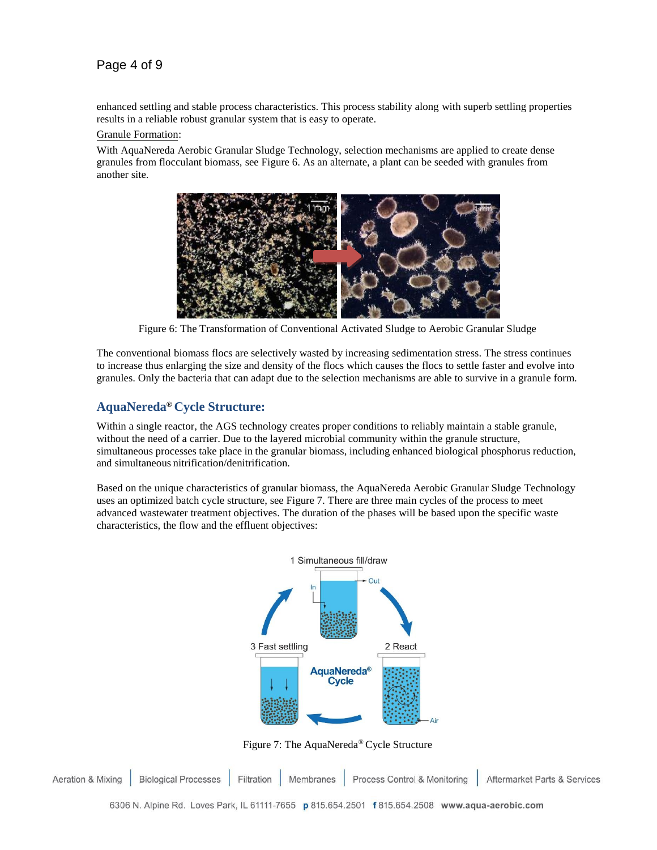# Page 4 of 9

enhanced settling and stable process characteristics. This process stability along with superb settling properties results in a reliable robust granular system that is easy to operate.

#### Granule Formation:

With AquaNereda Aerobic Granular Sludge Technology, selection mechanisms are applied to create dense granules from flocculant biomass, see Figure 6. As an alternate, a plant can be seeded with granules from another site.



Figure 6: The Transformation of Conventional Activated Sludge to Aerobic Granular Sludge

The conventional biomass flocs are selectively wasted by increasing sedimentation stress. The stress continues to increase thus enlarging the size and density of the flocs which causes the flocs to settle faster and evolve into granules. Only the bacteria that can adapt due to the selection mechanisms are able to survive in a granule form.

## **AquaNereda**® **Cycle Structure:**

Within a single reactor, the AGS technology creates proper conditions to reliably maintain a stable granule, without the need of a carrier. Due to the layered microbial community within the granule structure, simultaneous processes take place in the granular biomass, including enhanced biological phosphorus reduction, and simultaneous nitrification/denitrification.

Based on the unique characteristics of granular biomass, the AquaNereda Aerobic Granular Sludge Technology uses an optimized batch cycle structure, see Figure 7. There are three main cycles of the process to meet advanced wastewater treatment objectives. The duration of the phases will be based upon the specific waste characteristics, the flow and the effluent objectives:



Figure 7: The AquaNereda® Cycle Structure

**Biological Processes** Process Control & Monitoring **Aeration & Mixing** Filtration Membranes Aftermarket Parts & Services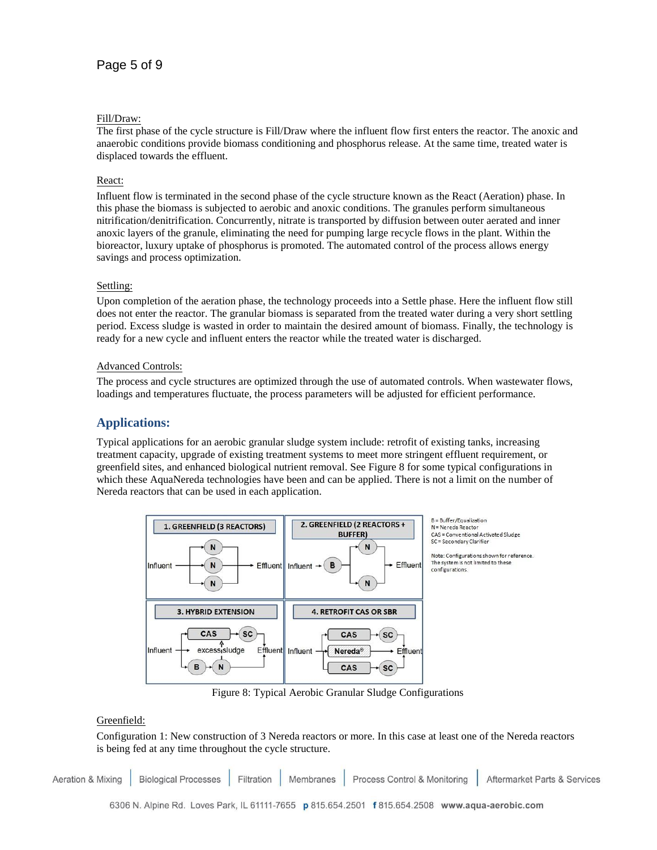#### Fill/Draw:

The first phase of the cycle structure is Fill/Draw where the influent flow first enters the reactor. The anoxic and anaerobic conditions provide biomass conditioning and phosphorus release. At the same time, treated water is displaced towards the effluent.

### React:

Influent flow is terminated in the second phase of the cycle structure known as the React (Aeration) phase. In this phase the biomass is subjected to aerobic and anoxic conditions. The granules perform simultaneous nitrification/denitrification. Concurrently, nitrate is transported by diffusion between outer aerated and inner anoxic layers of the granule, eliminating the need for pumping large recycle flows in the plant. Within the bioreactor, luxury uptake of phosphorus is promoted. The automated control of the process allows energy savings and process optimization.

#### Settling:

Upon completion of the aeration phase, the technology proceeds into a Settle phase. Here the influent flow still does not enter the reactor. The granular biomass is separated from the treated water during a very short settling period. Excess sludge is wasted in order to maintain the desired amount of biomass. Finally, the technology is ready for a new cycle and influent enters the reactor while the treated water is discharged.

#### Advanced Controls:

The process and cycle structures are optimized through the use of automated controls. When wastewater flows, loadings and temperatures fluctuate, the process parameters will be adjusted for efficient performance.

## **Applications:**

Typical applications for an aerobic granular sludge system include: retrofit of existing tanks, increasing treatment capacity, upgrade of existing treatment systems to meet more stringent effluent requirement, or greenfield sites, and enhanced biological nutrient removal. See Figure 8 for some typical configurations in which these AquaNereda technologies have been and can be applied. There is not a limit on the number of Nereda reactors that can be used in each application.



Figure 8: Typical Aerobic Granular Sludge Configurations

## Greenfield:

Configuration 1: New construction of 3 Nereda reactors or more. In this case at least one of the Nereda reactors is being fed at any time throughout the cycle structure.

**Aeration & Mixing Biological Processes** Filtration Membranes Process Control & Monitoring Aftermarket Parts & Services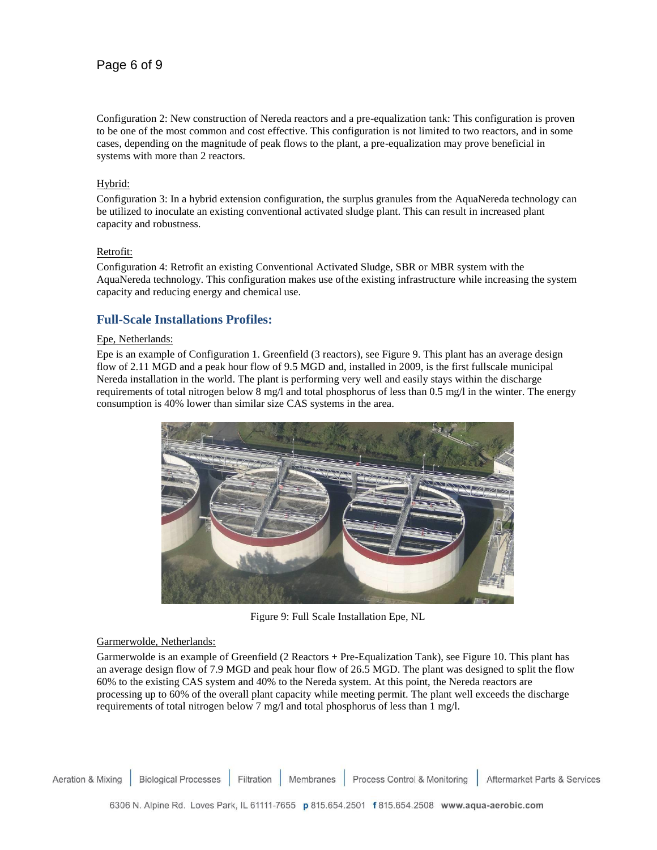# Page 6 of 9

Configuration 2: New construction of Nereda reactors and a pre-equalization tank: This configuration is proven to be one of the most common and cost effective. This configuration is not limited to two reactors, and in some cases, depending on the magnitude of peak flows to the plant, a pre-equalization may prove beneficial in systems with more than 2 reactors.

#### Hybrid:

Configuration 3: In a hybrid extension configuration, the surplus granules from the AquaNereda technology can be utilized to inoculate an existing conventional activated sludge plant. This can result in increased plant capacity and robustness.

#### Retrofit:

Configuration 4: Retrofit an existing Conventional Activated Sludge, SBR or MBR system with the AquaNereda technology. This configuration makes use of the existing infrastructure while increasing the system capacity and reducing energy and chemical use.

## **Full-Scale Installations Profiles:**

#### Epe, Netherlands:

Epe is an example of Configuration 1. Greenfield (3 reactors), see Figure 9. This plant has an average design flow of 2.11 MGD and a peak hour flow of 9.5 MGD and, installed in 2009, is the first fullscale municipal Nereda installation in the world. The plant is performing very well and easily stays within the discharge requirements of total nitrogen below 8 mg/l and total phosphorus of less than 0.5 mg/l in the winter. The energy consumption is 40% lower than similar size CAS systems in the area.



Figure 9: Full Scale Installation Epe, NL

#### Garmerwolde, Netherlands:

Garmerwolde is an example of Greenfield (2 Reactors + Pre-Equalization Tank), see Figure 10. This plant has an average design flow of 7.9 MGD and peak hour flow of 26.5 MGD. The plant was designed to split the flow 60% to the existing CAS system and 40% to the Nereda system. At this point, the Nereda reactors are processing up to 60% of the overall plant capacity while meeting permit. The plant well exceeds the discharge requirements of total nitrogen below 7 mg/l and total phosphorus of less than 1 mg/l.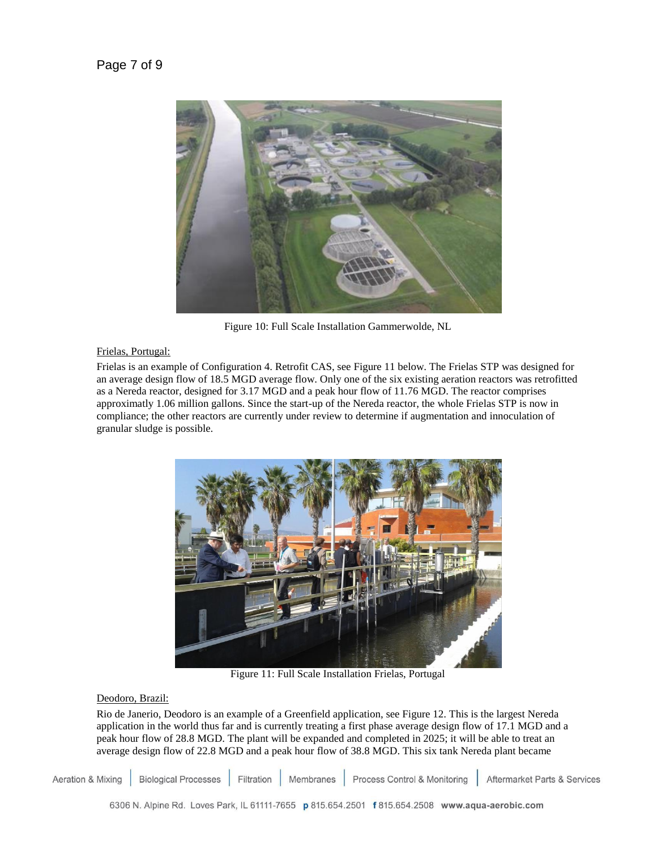

Figure 10: Full Scale Installation Gammerwolde, NL

#### Frielas, Portugal:

Frielas is an example of Configuration 4. Retrofit CAS, see Figure 11 below. The Frielas STP was designed for an average design flow of 18.5 MGD average flow. Only one of the six existing aeration reactors was retrofitted as a Nereda reactor, designed for 3.17 MGD and a peak hour flow of 11.76 MGD. The reactor comprises approximatly 1.06 million gallons. Since the start-up of the Nereda reactor, the whole Frielas STP is now in compliance; the other reactors are currently under review to determine if augmentation and innoculation of granular sludge is possible.



Figure 11: Full Scale Installation Frielas, Portugal

#### Deodoro, Brazil:

Rio de Janerio, Deodoro is an example of a Greenfield application, see Figure 12. This is the largest Nereda application in the world thus far and is currently treating a first phase average design flow of 17.1 MGD and a peak hour flow of 28.8 MGD. The plant will be expanded and completed in 2025; it will be able to treat an average design flow of 22.8 MGD and a peak hour flow of 38.8 MGD. This six tank Nereda plant became

**Biological Processes** Filtration Process Control & Monitoring Aeration & Mixing Membranes Aftermarket Parts & Services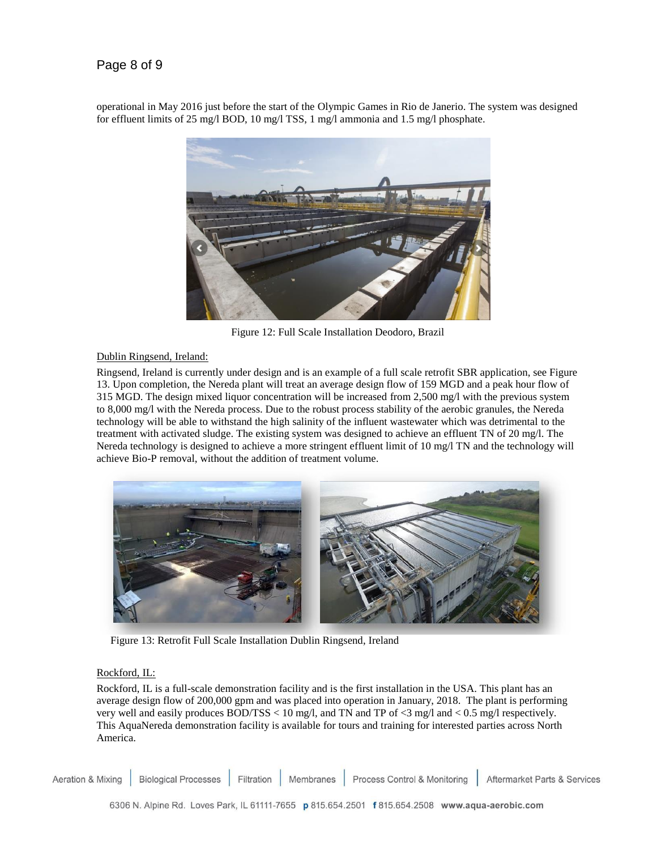# Page 8 of 9

operational in May 2016 just before the start of the Olympic Games in Rio de Janerio. The system was designed for effluent limits of 25 mg/l BOD, 10 mg/l TSS, 1 mg/l ammonia and 1.5 mg/l phosphate.



Figure 12: Full Scale Installation Deodoro, Brazil

#### Dublin Ringsend, Ireland:

Ringsend, Ireland is currently under design and is an example of a full scale retrofit SBR application, see Figure 13. Upon completion, the Nereda plant will treat an average design flow of 159 MGD and a peak hour flow of 315 MGD. The design mixed liquor concentration will be increased from 2,500 mg/l with the previous system to 8,000 mg/l with the Nereda process. Due to the robust process stability of the aerobic granules, the Nereda technology will be able to withstand the high salinity of the influent wastewater which was detrimental to the treatment with activated sludge. The existing system was designed to achieve an effluent TN of 20 mg/l. The Nereda technology is designed to achieve a more stringent effluent limit of 10 mg/l TN and the technology will achieve Bio-P removal, without the addition of treatment volume.



Figure 13: Retrofit Full Scale Installation Dublin Ringsend, Ireland

#### Rockford, IL:

Rockford, IL is a full-scale demonstration facility and is the first installation in the USA. This plant has an average design flow of 200,000 gpm and was placed into operation in January, 2018. The plant is performing very well and easily produces BOD/TSS < 10 mg/l, and TN and TP of <3 mg/l and < 0.5 mg/l respectively. This AquaNereda demonstration facility is available for tours and training for interested parties across North America.

Process Control & Monitoring **Aeration & Mixing Biological Processes** Filtration Membranes Aftermarket Parts & Services